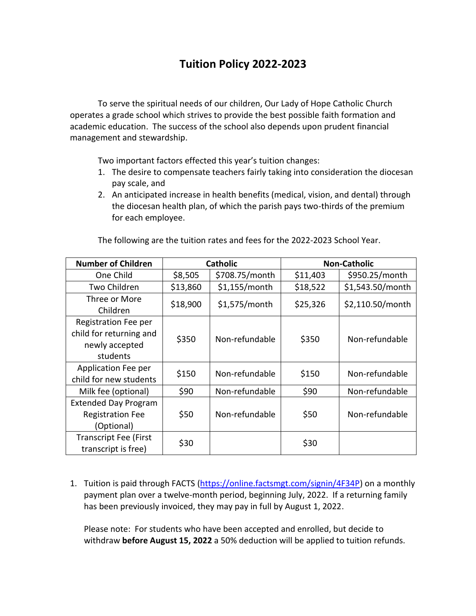## **Tuition Policy 2022-2023**

To serve the spiritual needs of our children, Our Lady of Hope Catholic Church operates a grade school which strives to provide the best possible faith formation and academic education. The success of the school also depends upon prudent financial management and stewardship.

Two important factors effected this year's tuition changes:

- 1. The desire to compensate teachers fairly taking into consideration the diocesan pay scale, and
- 2. An anticipated increase in health benefits (medical, vision, and dental) through the diocesan health plan, of which the parish pays two-thirds of the premium for each employee.

| <b>Number of Children</b>    | <b>Catholic</b> |                 | <b>Non-Catholic</b> |                  |
|------------------------------|-----------------|-----------------|---------------------|------------------|
| One Child                    | \$8,505         | \$708.75/month  | \$11,403            | \$950.25/month   |
| Two Children                 | \$13,860        | \$1,155/month   | \$18,522            | \$1,543.50/month |
| Three or More                | \$18,900        | $$1,575/m$ onth | \$25,326            | \$2,110.50/month |
| Children                     |                 |                 |                     |                  |
| Registration Fee per         |                 |                 |                     |                  |
| child for returning and      | \$350           | Non-refundable  | \$350               | Non-refundable   |
| newly accepted               |                 |                 |                     |                  |
| students                     |                 |                 |                     |                  |
| Application Fee per          | \$150           | Non-refundable  | \$150               | Non-refundable   |
| child for new students       |                 |                 |                     |                  |
| Milk fee (optional)          | \$90            | Non-refundable  | \$90                | Non-refundable   |
| <b>Extended Day Program</b>  |                 |                 |                     |                  |
| <b>Registration Fee</b>      | \$50            | Non-refundable  | \$50                | Non-refundable   |
| (Optional)                   |                 |                 |                     |                  |
| <b>Transcript Fee (First</b> | \$30            |                 | \$30                |                  |
| transcript is free)          |                 |                 |                     |                  |

The following are the tuition rates and fees for the 2022-2023 School Year.

1. Tuition is paid through FACTS [\(https://online.factsmgt.com/signin/4F34P\)](https://online.factsmgt.com/signin/4F34P) on a monthly payment plan over a twelve-month period, beginning July, 2022. If a returning family has been previously invoiced, they may pay in full by August 1, 2022.

Please note: For students who have been accepted and enrolled, but decide to withdraw **before August 15, 2022** a 50% deduction will be applied to tuition refunds.